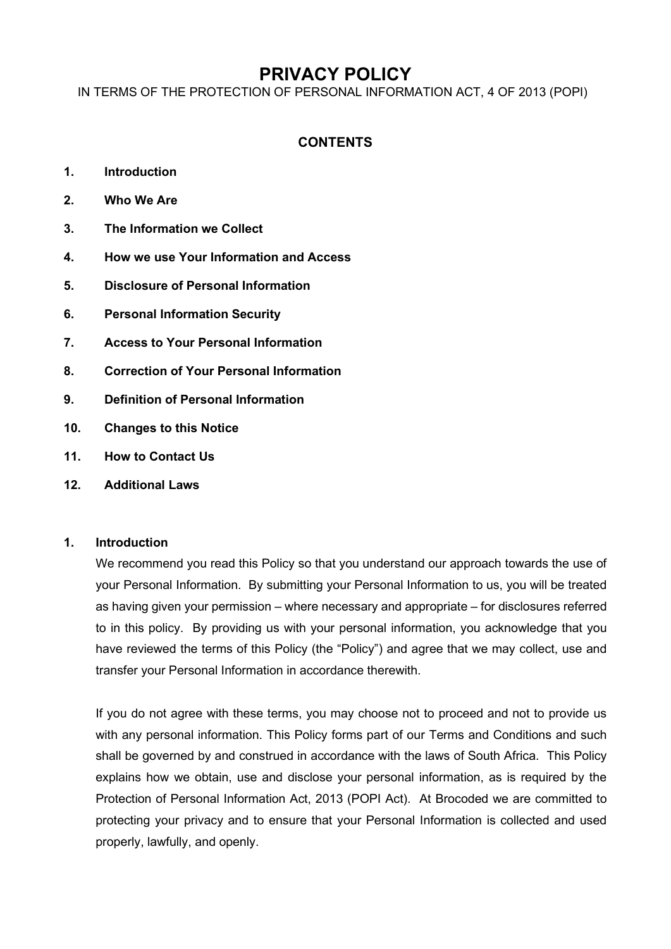# **PRIVACY POLICY**

IN TERMS OF THE PROTECTION OF PERSONAL INFORMATION ACT, 4 OF 2013 (POPI)

# **CONTENTS**

- **1. Introduction**
- **2. Who We Are**
- **3. The Information we Collect**
- **4. How we use Your Information and Access**
- **5. Disclosure of Personal Information**
- **6. Personal Information Security**
- **7. Access to Your Personal Information**
- **8. Correction of Your Personal Information**
- **9. Definition of Personal Information**
- **10. Changes to this Notice**
- **11. How to Contact Us**
- **12. Additional Laws**

### **1. Introduction**

We recommend you read this Policy so that you understand our approach towards the use of your Personal Information. By submitting your Personal Information to us, you will be treated as having given your permission – where necessary and appropriate – for disclosures referred to in this policy. By providing us with your personal information, you acknowledge that you have reviewed the terms of this Policy (the "Policy") and agree that we may collect, use and transfer your Personal Information in accordance therewith.

If you do not agree with these terms, you may choose not to proceed and not to provide us with any personal information. This Policy forms part of our Terms and Conditions and such shall be governed by and construed in accordance with the laws of South Africa. This Policy explains how we obtain, use and disclose your personal information, as is required by the Protection of Personal Information Act, 2013 (POPI Act). At Brocoded we are committed to protecting your privacy and to ensure that your Personal Information is collected and used properly, lawfully, and openly.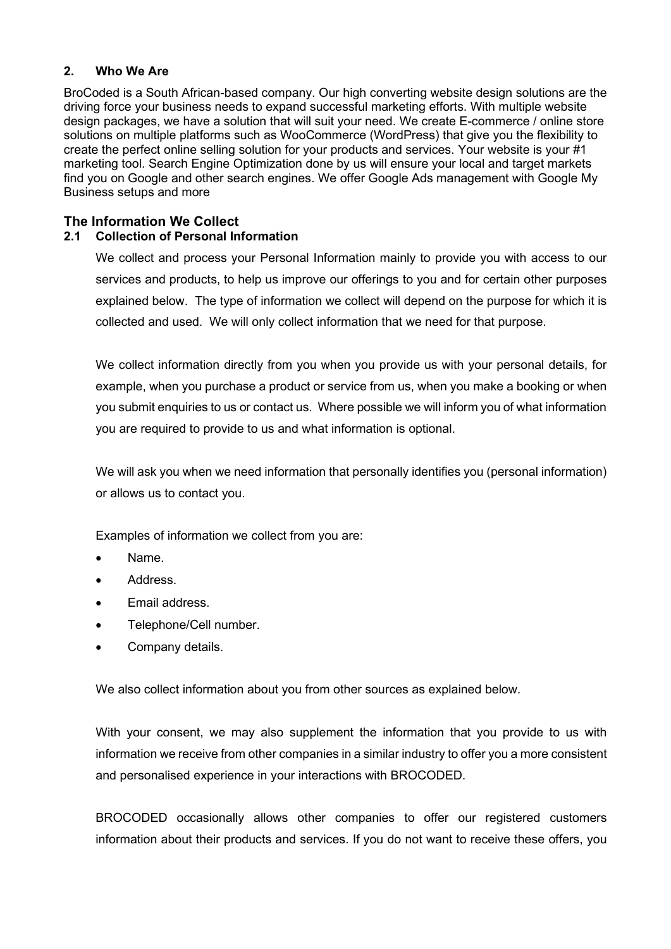### **2. Who We Are**

BroCoded is a South African-based company. Our high converting website design solutions are the driving force your business needs to expand successful marketing efforts. With multiple website design packages, we have a solution that will suit your need. We create E-commerce / online store solutions on multiple platforms such as WooCommerce (WordPress) that give you the flexibility to create the perfect online selling solution for your products and services. Your website is your #1 marketing tool. Search Engine Optimization done by us will ensure your local and target markets find you on Google and other search engines. We offer Google Ads management with Google My Business setups and more

## **The Information We Collect**

### **2.1 Collection of Personal Information**

We collect and process your Personal Information mainly to provide you with access to our services and products, to help us improve our offerings to you and for certain other purposes explained below. The type of information we collect will depend on the purpose for which it is collected and used. We will only collect information that we need for that purpose.

We collect information directly from you when you provide us with your personal details, for example, when you purchase a product or service from us, when you make a booking or when you submit enquiries to us or contact us. Where possible we will inform you of what information you are required to provide to us and what information is optional.

We will ask you when we need information that personally identifies you (personal information) or allows us to contact you.

Examples of information we collect from you are:

- Name.
- Address.
- Email address.
- Telephone/Cell number.
- Company details.

We also collect information about you from other sources as explained below.

With your consent, we may also supplement the information that you provide to us with information we receive from other companies in a similar industry to offer you a more consistent and personalised experience in your interactions with BROCODED.

BROCODED occasionally allows other companies to offer our registered customers information about their products and services. If you do not want to receive these offers, you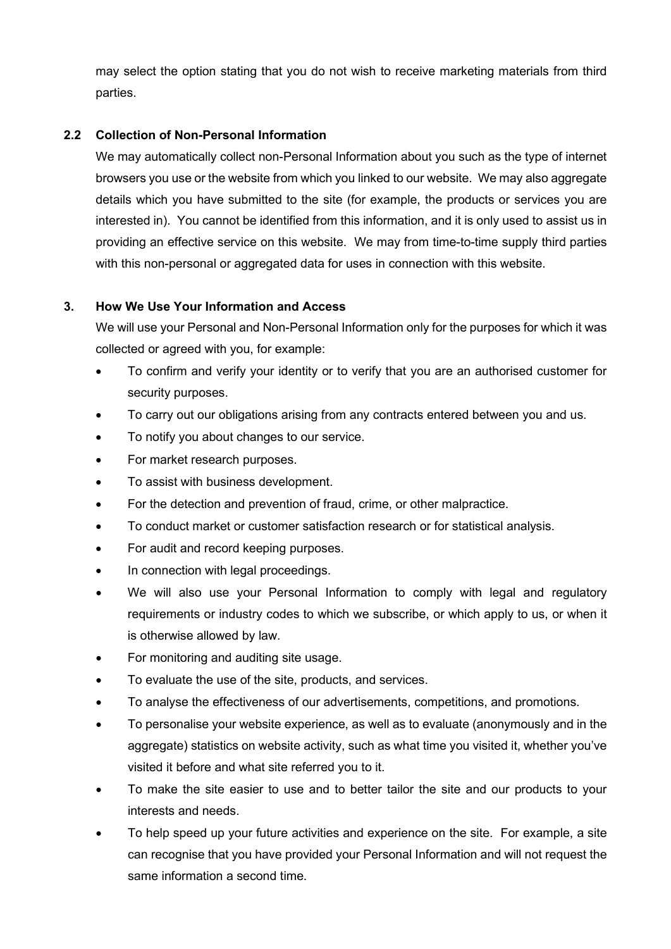may select the option stating that you do not wish to receive marketing materials from third parties.

# **2.2 Collection of Non-Personal Information**

We may automatically collect non-Personal Information about you such as the type of internet browsers you use or the website from which you linked to our website. We may also aggregate details which you have submitted to the site (for example, the products or services you are interested in). You cannot be identified from this information, and it is only used to assist us in providing an effective service on this website. We may from time-to-time supply third parties with this non-personal or aggregated data for uses in connection with this website.

# **3. How We Use Your Information and Access**

We will use your Personal and Non-Personal Information only for the purposes for which it was collected or agreed with you, for example:

- To confirm and verify your identity or to verify that you are an authorised customer for security purposes.
- To carry out our obligations arising from any contracts entered between you and us.
- To notify you about changes to our service.
- For market research purposes.
- To assist with business development.
- For the detection and prevention of fraud, crime, or other malpractice.
- To conduct market or customer satisfaction research or for statistical analysis.
- For audit and record keeping purposes.
- In connection with legal proceedings.
- We will also use your Personal Information to comply with legal and regulatory requirements or industry codes to which we subscribe, or which apply to us, or when it is otherwise allowed by law.
- For monitoring and auditing site usage.
- To evaluate the use of the site, products, and services.
- To analyse the effectiveness of our advertisements, competitions, and promotions.
- To personalise your website experience, as well as to evaluate (anonymously and in the aggregate) statistics on website activity, such as what time you visited it, whether you've visited it before and what site referred you to it.
- To make the site easier to use and to better tailor the site and our products to your interests and needs.
- To help speed up your future activities and experience on the site. For example, a site can recognise that you have provided your Personal Information and will not request the same information a second time.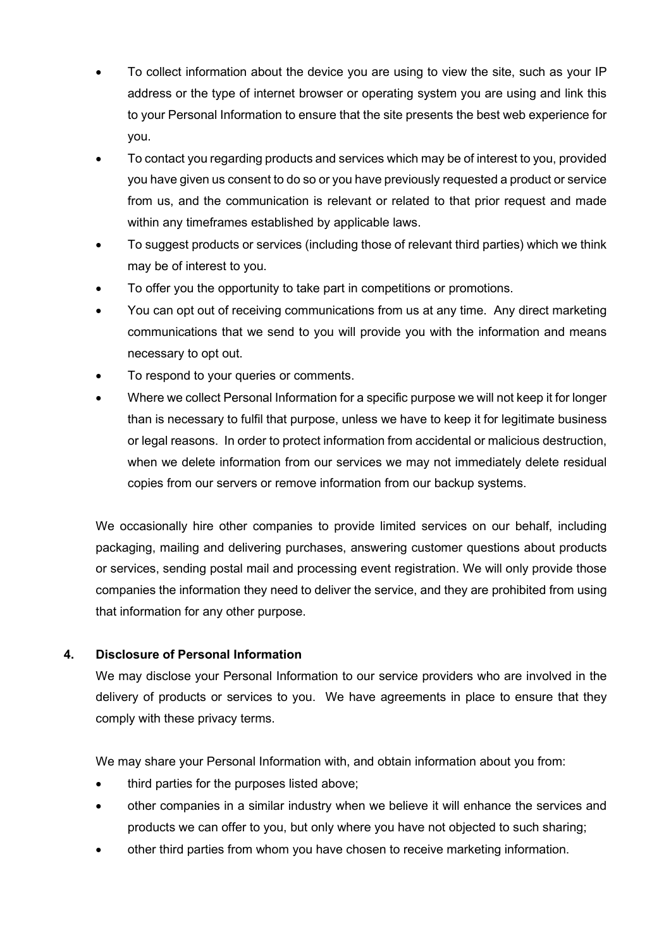- To collect information about the device you are using to view the site, such as your IP address or the type of internet browser or operating system you are using and link this to your Personal Information to ensure that the site presents the best web experience for you.
- To contact you regarding products and services which may be of interest to you, provided you have given us consent to do so or you have previously requested a product or service from us, and the communication is relevant or related to that prior request and made within any timeframes established by applicable laws.
- To suggest products or services (including those of relevant third parties) which we think may be of interest to you.
- To offer you the opportunity to take part in competitions or promotions.
- You can opt out of receiving communications from us at any time. Any direct marketing communications that we send to you will provide you with the information and means necessary to opt out.
- To respond to your queries or comments.
- Where we collect Personal Information for a specific purpose we will not keep it for longer than is necessary to fulfil that purpose, unless we have to keep it for legitimate business or legal reasons. In order to protect information from accidental or malicious destruction, when we delete information from our services we may not immediately delete residual copies from our servers or remove information from our backup systems.

We occasionally hire other companies to provide limited services on our behalf, including packaging, mailing and delivering purchases, answering customer questions about products or services, sending postal mail and processing event registration. We will only provide those companies the information they need to deliver the service, and they are prohibited from using that information for any other purpose.

# **4. Disclosure of Personal Information**

We may disclose your Personal Information to our service providers who are involved in the delivery of products or services to you. We have agreements in place to ensure that they comply with these privacy terms.

We may share your Personal Information with, and obtain information about you from:

- third parties for the purposes listed above:
- other companies in a similar industry when we believe it will enhance the services and products we can offer to you, but only where you have not objected to such sharing;
- other third parties from whom you have chosen to receive marketing information.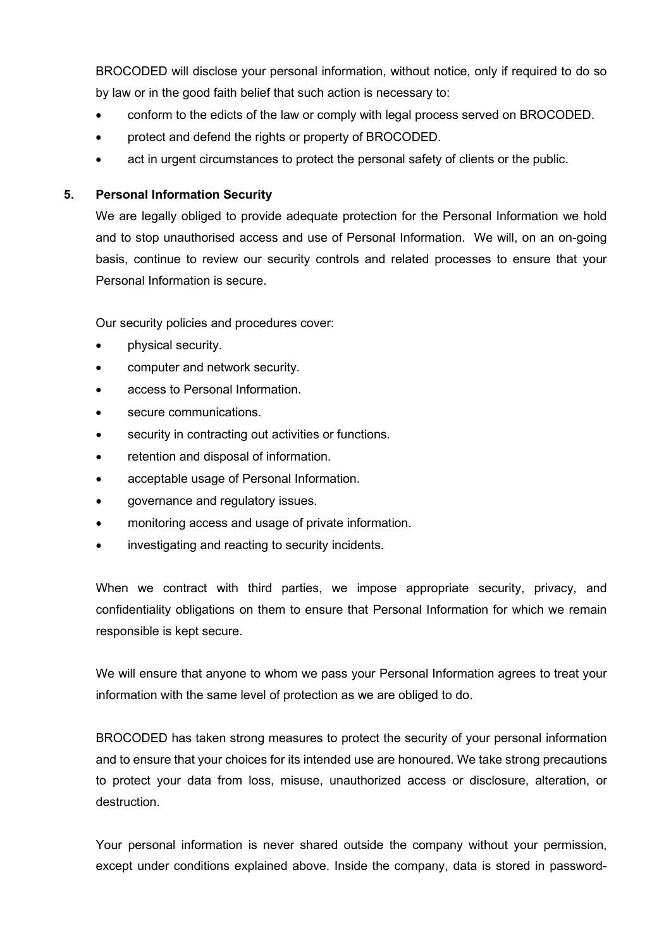BROCODED will disclose your personal information, without notice, only if required to do so by law or in the good faith belief that such action is necessary to:

- conform to the edicts of the law or comply with legal process served on BROCODED.
- protect and defend the rights or property of BROCODED.
- act in urgent circumstances to protect the personal safety of clients or the public.

### **5. Personal Information Security**

We are legally obliged to provide adequate protection for the Personal Information we hold and to stop unauthorised access and use of Personal Information. We will, on an on-going basis, continue to review our security controls and related processes to ensure that your Personal Information is secure.

Our security policies and procedures cover:

- physical security.
- computer and network security.
- access to Personal Information.
- secure communications.
- security in contracting out activities or functions.
- retention and disposal of information.
- acceptable usage of Personal Information.
- governance and regulatory issues.
- monitoring access and usage of private information.
- investigating and reacting to security incidents.

When we contract with third parties, we impose appropriate security, privacy, and confidentiality obligations on them to ensure that Personal Information for which we remain responsible is kept secure.

We will ensure that anyone to whom we pass your Personal Information agrees to treat your information with the same level of protection as we are obliged to do.

BROCODED has taken strong measures to protect the security of your personal information and to ensure that your choices for its intended use are honoured. We take strong precautions to protect your data from loss, misuse, unauthorized access or disclosure, alteration, or destruction.

Your personal information is never shared outside the company without your permission, except under conditions explained above. Inside the company, data is stored in password-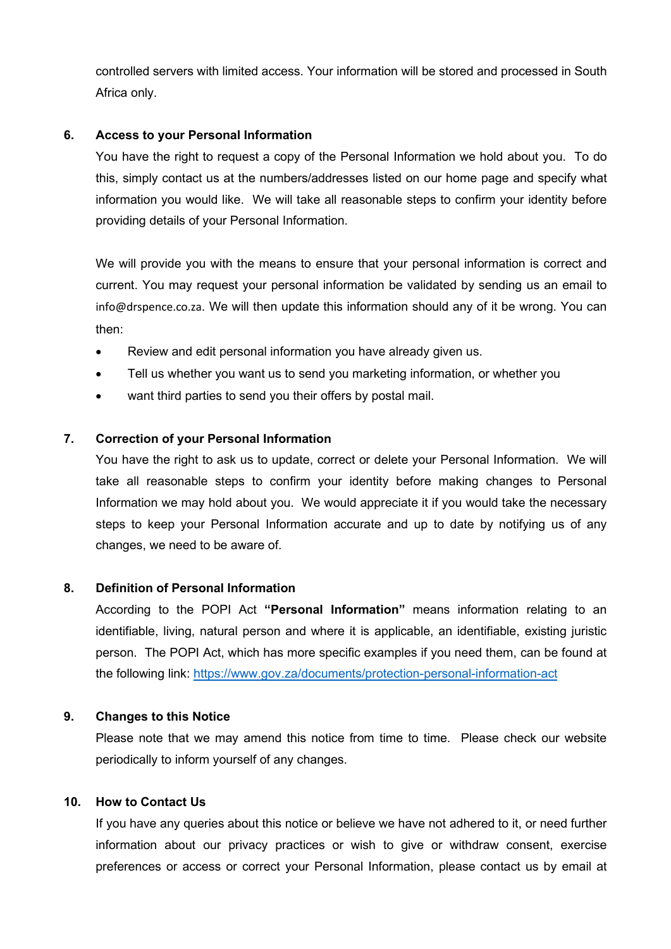controlled servers with limited access. Your information will be stored and processed in South Africa only.

### **6. Access to your Personal Information**

You have the right to request a copy of the Personal Information we hold about you. To do this, simply contact us at the numbers/addresses listed on our home page and specify what information you would like. We will take all reasonable steps to confirm your identity before providing details of your Personal Information.

We will provide you with the means to ensure that your personal information is correct and current. You may request your personal information be validated by sending us an email to info@drspence.co.za. We will then update this information should any of it be wrong. You can then:

- Review and edit personal information you have already given us.
- Tell us whether you want us to send you marketing information, or whether you
- want third parties to send you their offers by postal mail.

### **7. Correction of your Personal Information**

You have the right to ask us to update, correct or delete your Personal Information. We will take all reasonable steps to confirm your identity before making changes to Personal Information we may hold about you. We would appreciate it if you would take the necessary steps to keep your Personal Information accurate and up to date by notifying us of any changes, we need to be aware of.

### **8. Definition of Personal Information**

According to the POPI Act **"Personal Information"** means information relating to an identifiable, living, natural person and where it is applicable, an identifiable, existing juristic person. The POPI Act, which has more specific examples if you need them, can be found at the following link:<https://www.gov.za/documents/protection-personal-information-act>

### **9. Changes to this Notice**

Please note that we may amend this notice from time to time. Please check our website periodically to inform yourself of any changes.

### **10. How to Contact Us**

If you have any queries about this notice or believe we have not adhered to it, or need further information about our privacy practices or wish to give or withdraw consent, exercise preferences or access or correct your Personal Information, please contact us by email at